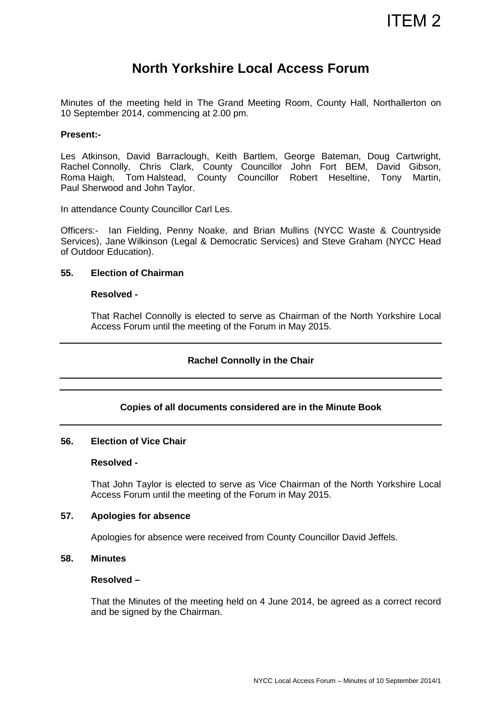# **North Yorkshire Local Access Forum**

Minutes of the meeting held in The Grand Meeting Room, County Hall, Northallerton on 10 September 2014, commencing at 2.00 pm.

## **Present:-**

Les Atkinson, David Barraclough, Keith Bartlem, George Bateman, Doug Cartwright, Rachel Connolly, Chris Clark, County Councillor John Fort BEM, David Gibson, Roma Haigh, Tom Halstead, County Councillor Robert Heseltine, Tony Martin, Paul Sherwood and John Taylor.

In attendance County Councillor Carl Les.

Officers:- Ian Fielding, Penny Noake, and Brian Mullins (NYCC Waste & Countryside Services), Jane Wilkinson (Legal & Democratic Services) and Steve Graham (NYCC Head of Outdoor Education).

## **55. Election of Chairman**

## **Resolved -**

That Rachel Connolly is elected to serve as Chairman of the North Yorkshire Local Access Forum until the meeting of the Forum in May 2015.

# **Rachel Connolly in the Chair**

# **Copies of all documents considered are in the Minute Book**

## **56. Election of Vice Chair**

#### **Resolved -**

That John Taylor is elected to serve as Vice Chairman of the North Yorkshire Local Access Forum until the meeting of the Forum in May 2015.

#### **57. Apologies for absence**

Apologies for absence were received from County Councillor David Jeffels.

# **58. Minutes**

#### **Resolved –**

That the Minutes of the meeting held on 4 June 2014, be agreed as a correct record and be signed by the Chairman.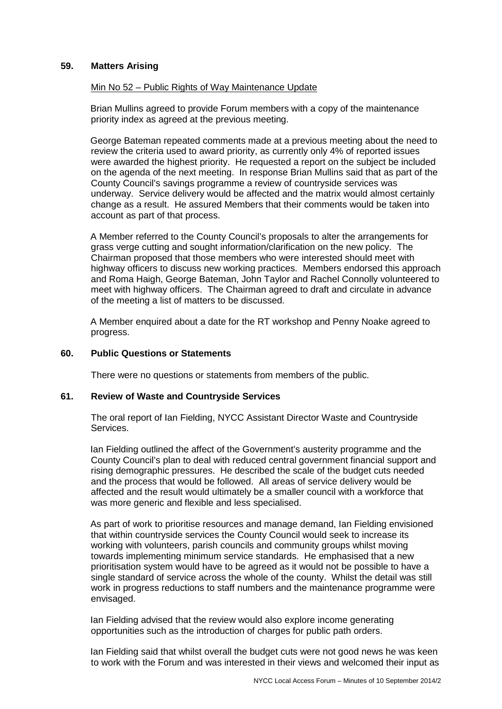## **59. Matters Arising**

## Min No 52 – Public Rights of Way Maintenance Update

Brian Mullins agreed to provide Forum members with a copy of the maintenance priority index as agreed at the previous meeting.

George Bateman repeated comments made at a previous meeting about the need to review the criteria used to award priority, as currently only 4% of reported issues were awarded the highest priority. He requested a report on the subject be included on the agenda of the next meeting. In response Brian Mullins said that as part of the County Council's savings programme a review of countryside services was underway. Service delivery would be affected and the matrix would almost certainly change as a result. He assured Members that their comments would be taken into account as part of that process.

A Member referred to the County Council's proposals to alter the arrangements for grass verge cutting and sought information/clarification on the new policy. The Chairman proposed that those members who were interested should meet with highway officers to discuss new working practices. Members endorsed this approach and Roma Haigh, George Bateman, John Taylor and Rachel Connolly volunteered to meet with highway officers. The Chairman agreed to draft and circulate in advance of the meeting a list of matters to be discussed.

A Member enquired about a date for the RT workshop and Penny Noake agreed to progress.

#### **60. Public Questions or Statements**

There were no questions or statements from members of the public.

#### **61. Review of Waste and Countryside Services**

The oral report of Ian Fielding, NYCC Assistant Director Waste and Countryside Services.

Ian Fielding outlined the affect of the Government's austerity programme and the County Council's plan to deal with reduced central government financial support and rising demographic pressures. He described the scale of the budget cuts needed and the process that would be followed. All areas of service delivery would be affected and the result would ultimately be a smaller council with a workforce that was more generic and flexible and less specialised.

As part of work to prioritise resources and manage demand, Ian Fielding envisioned that within countryside services the County Council would seek to increase its working with volunteers, parish councils and community groups whilst moving towards implementing minimum service standards. He emphasised that a new prioritisation system would have to be agreed as it would not be possible to have a single standard of service across the whole of the county. Whilst the detail was still work in progress reductions to staff numbers and the maintenance programme were envisaged.

Ian Fielding advised that the review would also explore income generating opportunities such as the introduction of charges for public path orders.

Ian Fielding said that whilst overall the budget cuts were not good news he was keen to work with the Forum and was interested in their views and welcomed their input as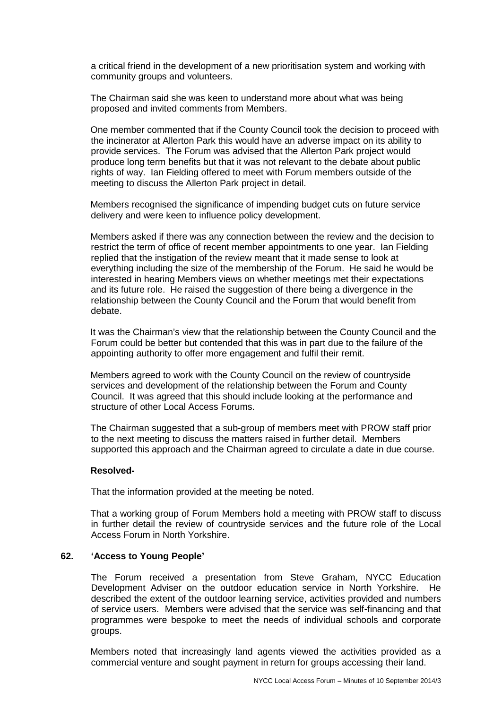a critical friend in the development of a new prioritisation system and working with community groups and volunteers.

The Chairman said she was keen to understand more about what was being proposed and invited comments from Members.

One member commented that if the County Council took the decision to proceed with the incinerator at Allerton Park this would have an adverse impact on its ability to provide services. The Forum was advised that the Allerton Park project would produce long term benefits but that it was not relevant to the debate about public rights of way. Ian Fielding offered to meet with Forum members outside of the meeting to discuss the Allerton Park project in detail.

Members recognised the significance of impending budget cuts on future service delivery and were keen to influence policy development.

Members asked if there was any connection between the review and the decision to restrict the term of office of recent member appointments to one year. Ian Fielding replied that the instigation of the review meant that it made sense to look at everything including the size of the membership of the Forum. He said he would be interested in hearing Members views on whether meetings met their expectations and its future role. He raised the suggestion of there being a divergence in the relationship between the County Council and the Forum that would benefit from debate.

It was the Chairman's view that the relationship between the County Council and the Forum could be better but contended that this was in part due to the failure of the appointing authority to offer more engagement and fulfil their remit.

Members agreed to work with the County Council on the review of countryside services and development of the relationship between the Forum and County Council. It was agreed that this should include looking at the performance and structure of other Local Access Forums.

The Chairman suggested that a sub-group of members meet with PROW staff prior to the next meeting to discuss the matters raised in further detail. Members supported this approach and the Chairman agreed to circulate a date in due course.

#### **Resolved-**

That the information provided at the meeting be noted.

That a working group of Forum Members hold a meeting with PROW staff to discuss in further detail the review of countryside services and the future role of the Local Access Forum in North Yorkshire.

#### **62. 'Access to Young People'**

The Forum received a presentation from Steve Graham, NYCC Education Development Adviser on the outdoor education service in North Yorkshire. He described the extent of the outdoor learning service, activities provided and numbers of service users. Members were advised that the service was self-financing and that programmes were bespoke to meet the needs of individual schools and corporate groups.

Members noted that increasingly land agents viewed the activities provided as a commercial venture and sought payment in return for groups accessing their land.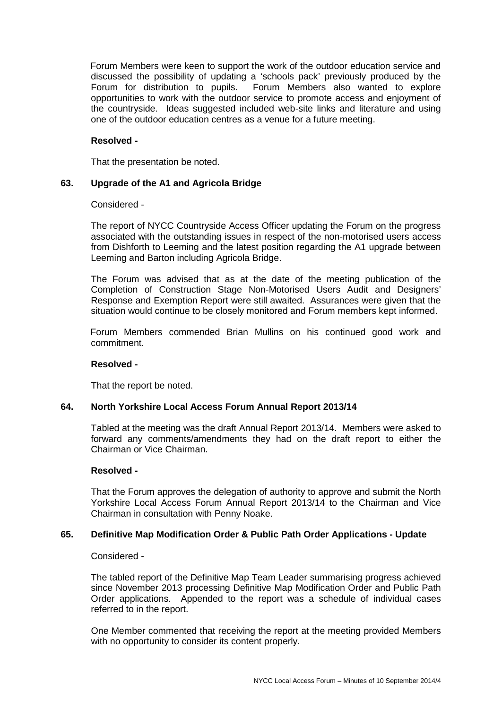Forum Members were keen to support the work of the outdoor education service and discussed the possibility of updating a 'schools pack' previously produced by the Forum for distribution to pupils. Forum Members also wanted to explore opportunities to work with the outdoor service to promote access and enjoyment of the countryside. Ideas suggested included web-site links and literature and using one of the outdoor education centres as a venue for a future meeting.

## **Resolved -**

That the presentation be noted.

# **63. Upgrade of the A1 and Agricola Bridge**

#### Considered -

The report of NYCC Countryside Access Officer updating the Forum on the progress associated with the outstanding issues in respect of the non-motorised users access from Dishforth to Leeming and the latest position regarding the A1 upgrade between Leeming and Barton including Agricola Bridge.

The Forum was advised that as at the date of the meeting publication of the Completion of Construction Stage Non-Motorised Users Audit and Designers' Response and Exemption Report were still awaited. Assurances were given that the situation would continue to be closely monitored and Forum members kept informed.

Forum Members commended Brian Mullins on his continued good work and commitment.

#### **Resolved -**

That the report be noted.

#### **64. North Yorkshire Local Access Forum Annual Report 2013/14**

Tabled at the meeting was the draft Annual Report 2013/14. Members were asked to forward any comments/amendments they had on the draft report to either the Chairman or Vice Chairman.

#### **Resolved -**

That the Forum approves the delegation of authority to approve and submit the North Yorkshire Local Access Forum Annual Report 2013/14 to the Chairman and Vice Chairman in consultation with Penny Noake.

#### **65. Definitive Map Modification Order & Public Path Order Applications - Update**

Considered -

The tabled report of the Definitive Map Team Leader summarising progress achieved since November 2013 processing Definitive Map Modification Order and Public Path Order applications. Appended to the report was a schedule of individual cases referred to in the report.

One Member commented that receiving the report at the meeting provided Members with no opportunity to consider its content properly.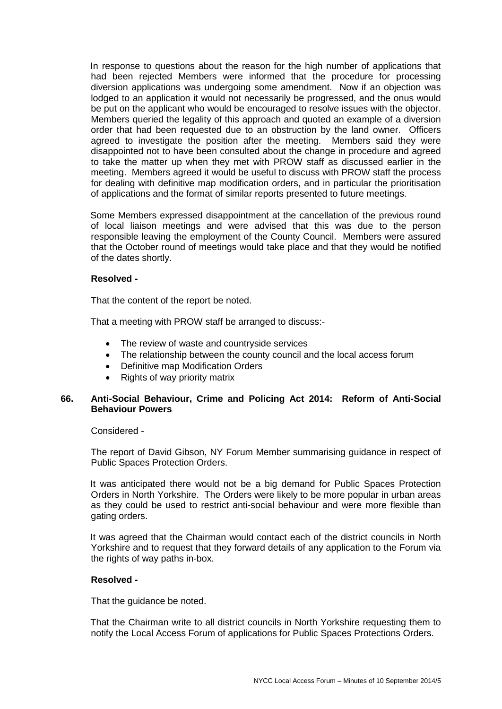In response to questions about the reason for the high number of applications that had been rejected Members were informed that the procedure for processing diversion applications was undergoing some amendment. Now if an objection was lodged to an application it would not necessarily be progressed, and the onus would be put on the applicant who would be encouraged to resolve issues with the objector. Members queried the legality of this approach and quoted an example of a diversion order that had been requested due to an obstruction by the land owner. Officers agreed to investigate the position after the meeting. Members said they were disappointed not to have been consulted about the change in procedure and agreed to take the matter up when they met with PROW staff as discussed earlier in the meeting. Members agreed it would be useful to discuss with PROW staff the process for dealing with definitive map modification orders, and in particular the prioritisation of applications and the format of similar reports presented to future meetings.

Some Members expressed disappointment at the cancellation of the previous round of local liaison meetings and were advised that this was due to the person responsible leaving the employment of the County Council. Members were assured that the October round of meetings would take place and that they would be notified of the dates shortly.

## **Resolved -**

That the content of the report be noted.

That a meeting with PROW staff be arranged to discuss:-

- The review of waste and countryside services
- The relationship between the county council and the local access forum
- Definitive map Modification Orders
- Rights of way priority matrix

## **66. Anti-Social Behaviour, Crime and Policing Act 2014: Reform of Anti-Social Behaviour Powers**

Considered -

The report of David Gibson, NY Forum Member summarising guidance in respect of Public Spaces Protection Orders.

It was anticipated there would not be a big demand for Public Spaces Protection Orders in North Yorkshire. The Orders were likely to be more popular in urban areas as they could be used to restrict anti-social behaviour and were more flexible than gating orders.

It was agreed that the Chairman would contact each of the district councils in North Yorkshire and to request that they forward details of any application to the Forum via the rights of way paths in-box.

#### **Resolved -**

That the guidance be noted.

That the Chairman write to all district councils in North Yorkshire requesting them to notify the Local Access Forum of applications for Public Spaces Protections Orders.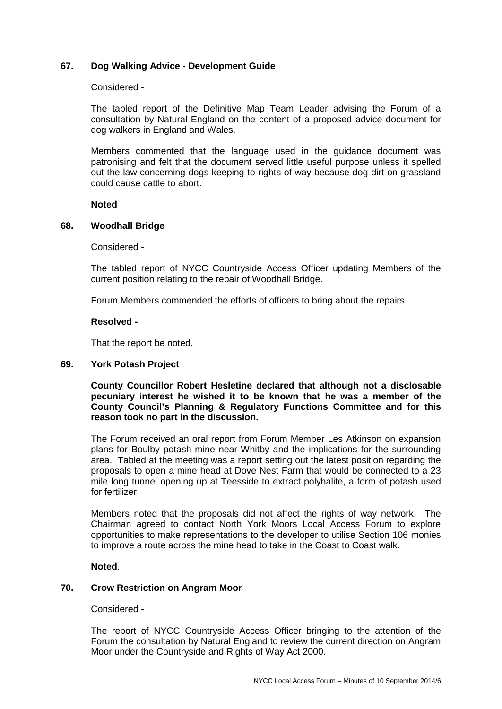## **67. Dog Walking Advice - Development Guide**

#### Considered -

The tabled report of the Definitive Map Team Leader advising the Forum of a consultation by Natural England on the content of a proposed advice document for dog walkers in England and Wales.

Members commented that the language used in the guidance document was patronising and felt that the document served little useful purpose unless it spelled out the law concerning dogs keeping to rights of way because dog dirt on grassland could cause cattle to abort.

#### **Noted**

#### **68. Woodhall Bridge**

Considered -

The tabled report of NYCC Countryside Access Officer updating Members of the current position relating to the repair of Woodhall Bridge.

Forum Members commended the efforts of officers to bring about the repairs.

#### **Resolved -**

That the report be noted.

#### **69. York Potash Project**

**County Councillor Robert Hesletine declared that although not a disclosable pecuniary interest he wished it to be known that he was a member of the County Council's Planning & Regulatory Functions Committee and for this reason took no part in the discussion.** 

The Forum received an oral report from Forum Member Les Atkinson on expansion plans for Boulby potash mine near Whitby and the implications for the surrounding area. Tabled at the meeting was a report setting out the latest position regarding the proposals to open a mine head at Dove Nest Farm that would be connected to a 23 mile long tunnel opening up at Teesside to extract polyhalite, a form of potash used for fertilizer.

Members noted that the proposals did not affect the rights of way network. The Chairman agreed to contact North York Moors Local Access Forum to explore opportunities to make representations to the developer to utilise Section 106 monies to improve a route across the mine head to take in the Coast to Coast walk.

## **Noted**.

## **70. Crow Restriction on Angram Moor**

Considered -

The report of NYCC Countryside Access Officer bringing to the attention of the Forum the consultation by Natural England to review the current direction on Angram Moor under the Countryside and Rights of Way Act 2000.